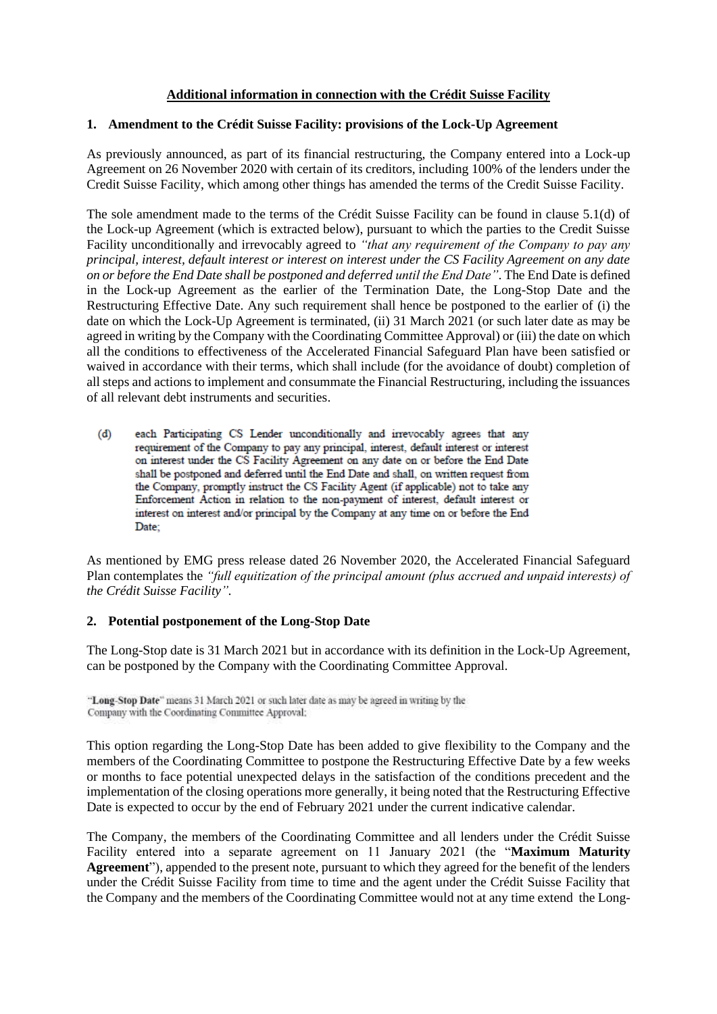## **Additional information in connection with the Crédit Suisse Facility**

## **1. Amendment to the Crédit Suisse Facility: provisions of the Lock-Up Agreement**

As previously announced, as part of its financial restructuring, the Company entered into a Lock-up Agreement on 26 November 2020 with certain of its creditors, including 100% of the lenders under the Credit Suisse Facility, which among other things has amended the terms of the Credit Suisse Facility.

The sole amendment made to the terms of the Crédit Suisse Facility can be found in clause 5.1(d) of the Lock-up Agreement (which is extracted below), pursuant to which the parties to the Credit Suisse Facility unconditionally and irrevocably agreed to *"that any requirement of the Company to pay any principal, interest, default interest or interest on interest under the CS Facility Agreement on any date on or before the End Date shall be postponed and deferred until the End Date"*. The End Date is defined in the Lock-up Agreement as the earlier of the Termination Date, the Long-Stop Date and the Restructuring Effective Date. Any such requirement shall hence be postponed to the earlier of (i) the date on which the Lock-Up Agreement is terminated, (ii) 31 March 2021 (or such later date as may be agreed in writing by the Company with the Coordinating Committee Approval) or (iii) the date on which all the conditions to effectiveness of the Accelerated Financial Safeguard Plan have been satisfied or waived in accordance with their terms, which shall include (for the avoidance of doubt) completion of all steps and actions to implement and consummate the Financial Restructuring, including the issuances of all relevant debt instruments and securities.

 $(d)$ each Participating CS Lender unconditionally and irrevocably agrees that any requirement of the Company to pay any principal, interest, default interest or interest on interest under the CS Facility Agreement on any date on or before the End Date shall be postponed and deferred until the End Date and shall, on written request from the Company, promptly instruct the CS Facility Agent (if applicable) not to take any Enforcement Action in relation to the non-payment of interest, default interest or interest on interest and/or principal by the Company at any time on or before the End Date:

As mentioned by EMG press release dated 26 November 2020, the Accelerated Financial Safeguard Plan contemplates the *"full equitization of the principal amount (plus accrued and unpaid interests) of the Crédit Suisse Facility".* 

# **2. Potential postponement of the Long-Stop Date**

The Long-Stop date is 31 March 2021 but in accordance with its definition in the Lock-Up Agreement, can be postponed by the Company with the Coordinating Committee Approval.

This option regarding the Long-Stop Date has been added to give flexibility to the Company and the members of the Coordinating Committee to postpone the Restructuring Effective Date by a few weeks or months to face potential unexpected delays in the satisfaction of the conditions precedent and the implementation of the closing operations more generally, it being noted that the Restructuring Effective Date is expected to occur by the end of February 2021 under the current indicative calendar.

The Company, the members of the Coordinating Committee and all lenders under the Crédit Suisse Facility entered into a separate agreement on 11 January 2021 (the "**Maximum Maturity Agreement**"), appended to the present note, pursuant to which they agreed for the benefit of the lenders under the Crédit Suisse Facility from time to time and the agent under the Crédit Suisse Facility that the Company and the members of the Coordinating Committee would not at any time extend the Long-

<sup>&</sup>quot;Long-Stop Date" means 31 March 2021 or such later date as may be agreed in writing by the Company with the Coordinating Committee Approval;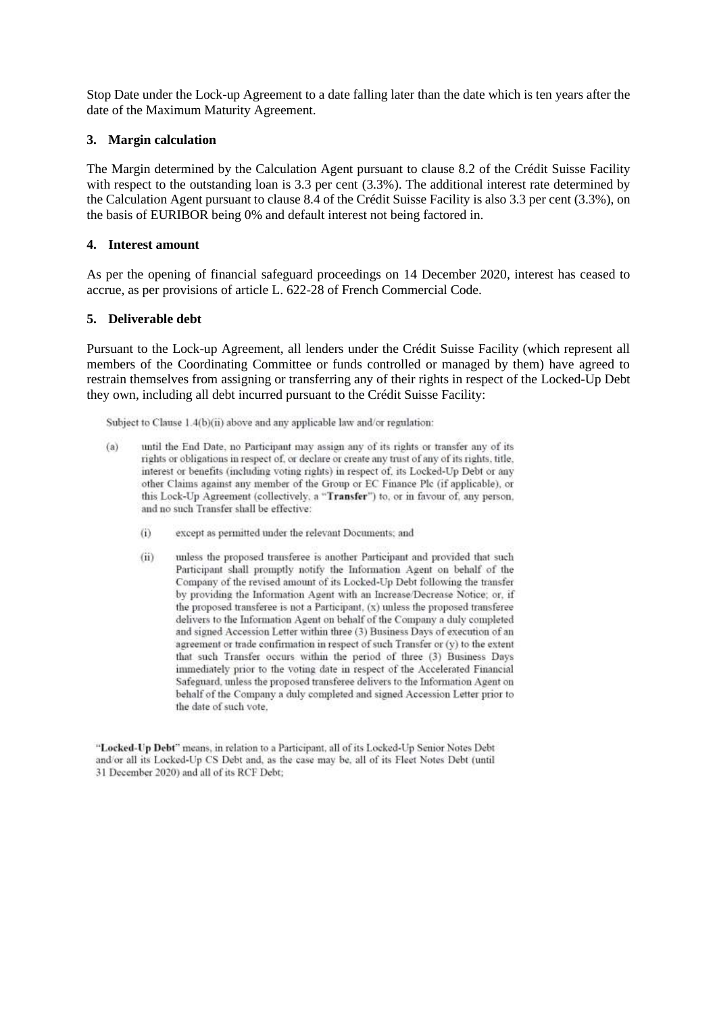Stop Date under the Lock-up Agreement to a date falling later than the date which is ten years after the date of the Maximum Maturity Agreement.

### **3. Margin calculation**

The Margin determined by the Calculation Agent pursuant to clause 8.2 of the Crédit Suisse Facility with respect to the outstanding loan is 3.3 per cent  $(3.3\%)$ . The additional interest rate determined by the Calculation Agent pursuant to clause 8.4 of the Crédit Suisse Facility is also 3.3 per cent (3.3%), on the basis of EURIBOR being 0% and default interest not being factored in.

### **4. Interest amount**

As per the opening of financial safeguard proceedings on 14 December 2020, interest has ceased to accrue, as per provisions of article L. 622-28 of French Commercial Code.

#### **5. Deliverable debt**

Pursuant to the Lock-up Agreement, all lenders under the Crédit Suisse Facility (which represent all members of the Coordinating Committee or funds controlled or managed by them) have agreed to restrain themselves from assigning or transferring any of their rights in respect of the Locked-Up Debt they own, including all debt incurred pursuant to the Crédit Suisse Facility:

Subject to Clause 1.4(b)(ii) above and any applicable law and/or regulation:

- until the End Date, no Participant may assign any of its rights or transfer any of its  $(a)$ rights or obligations in respect of, or declare or create any trust of any of its rights, title, interest or benefits (including voting rights) in respect of, its Locked-Up Debt or any other Claims against any member of the Group or EC Finance Plc (if applicable), or this Lock-Up Agreement (collectively, a "Transfer") to, or in favour of, any person. and no such Transfer shall be effective:
	- $(i)$ except as permitted under the relevant Documents; and
	- $(ii)$ unless the proposed transferee is another Participant and provided that such Participant shall promptly notify the Information Agent on behalf of the Company of the revised amount of its Locked-Up Debt following the transfer by providing the Information Agent with an Increase/Decrease Notice; or, if the proposed transferee is not a Participant, (x) unless the proposed transferee delivers to the Information Agent on behalf of the Company a duly completed and signed Accession Letter within three (3) Business Days of execution of an agreement or trade confirmation in respect of such Transfer or (y) to the extent that such Transfer occurs within the period of three (3) Business Days immediately prior to the voting date in respect of the Accelerated Financial Safeguard, unless the proposed transferee delivers to the Information Agent on behalf of the Company a duly completed and signed Accession Letter prior to the date of such vote.

"Locked-Up Debt" means, in relation to a Participant, all of its Locked-Up Senior Notes Debt and/or all its Locked-Up CS Debt and, as the case may be, all of its Fleet Notes Debt (until 31 December 2020) and all of its RCF Debt;